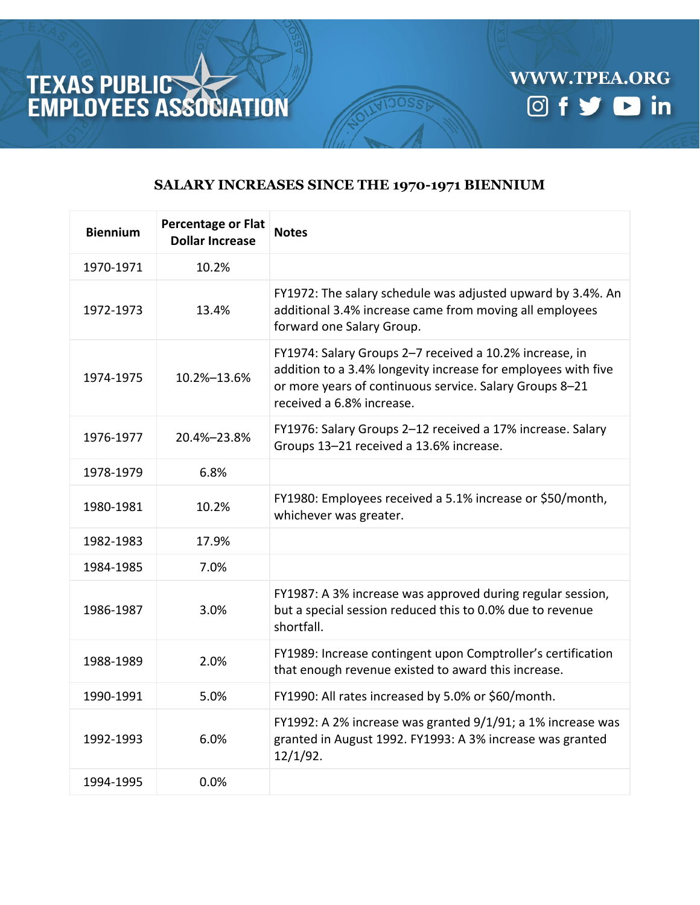



## **SALARY INCREASES SINCE THE 1970-1971 BIENNIUM**

| <b>Biennium</b> | <b>Percentage or Flat</b><br><b>Dollar Increase</b> | <b>Notes</b>                                                                                                                                                                                                     |
|-----------------|-----------------------------------------------------|------------------------------------------------------------------------------------------------------------------------------------------------------------------------------------------------------------------|
| 1970-1971       | 10.2%                                               |                                                                                                                                                                                                                  |
| 1972-1973       | 13.4%                                               | FY1972: The salary schedule was adjusted upward by 3.4%. An<br>additional 3.4% increase came from moving all employees<br>forward one Salary Group.                                                              |
| 1974-1975       | 10.2%-13.6%                                         | FY1974: Salary Groups 2-7 received a 10.2% increase, in<br>addition to a 3.4% longevity increase for employees with five<br>or more years of continuous service. Salary Groups 8-21<br>received a 6.8% increase. |
| 1976-1977       | 20.4%-23.8%                                         | FY1976: Salary Groups 2-12 received a 17% increase. Salary<br>Groups 13-21 received a 13.6% increase.                                                                                                            |
| 1978-1979       | 6.8%                                                |                                                                                                                                                                                                                  |
| 1980-1981       | 10.2%                                               | FY1980: Employees received a 5.1% increase or \$50/month,<br>whichever was greater.                                                                                                                              |
| 1982-1983       | 17.9%                                               |                                                                                                                                                                                                                  |
| 1984-1985       | 7.0%                                                |                                                                                                                                                                                                                  |
| 1986-1987       | 3.0%                                                | FY1987: A 3% increase was approved during regular session,<br>but a special session reduced this to 0.0% due to revenue<br>shortfall.                                                                            |
| 1988-1989       | 2.0%                                                | FY1989: Increase contingent upon Comptroller's certification<br>that enough revenue existed to award this increase.                                                                                              |
| 1990-1991       | 5.0%                                                | FY1990: All rates increased by 5.0% or \$60/month.                                                                                                                                                               |
| 1992-1993       | 6.0%                                                | FY1992: A 2% increase was granted 9/1/91; a 1% increase was<br>granted in August 1992. FY1993: A 3% increase was granted<br>$12/1/92$ .                                                                          |
| 1994-1995       | 0.0%                                                |                                                                                                                                                                                                                  |